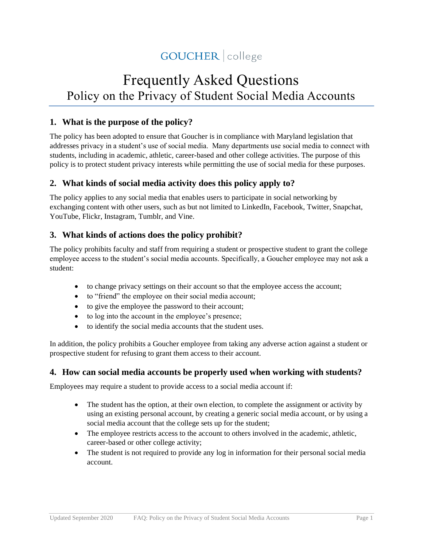# **GOUCHER** college

## Frequently Asked Questions Policy on the Privacy of Student Social Media Accounts

#### **1. What is the purpose of the policy?**

The policy has been adopted to ensure that Goucher is in compliance with Maryland legislation that addresses privacy in a student's use of social media. Many departments use social media to connect with students, including in academic, athletic, career-based and other college activities. The purpose of this policy is to protect student privacy interests while permitting the use of social media for these purposes.

#### **2. What kinds of social media activity does this policy apply to?**

The policy applies to any social media that enables users to participate in social networking by exchanging content with other users, such as but not limited to LinkedIn, Facebook, Twitter, Snapchat, YouTube, Flickr, Instagram, Tumblr, and Vine.

#### **3. What kinds of actions does the policy prohibit?**

The policy prohibits faculty and staff from requiring a student or prospective student to grant the college employee access to the student's social media accounts. Specifically, a Goucher employee may not ask a student:

- to change privacy settings on their account so that the employee access the account;
- to "friend" the employee on their social media account;
- to give the employee the password to their account;
- to log into the account in the employee's presence;
- to identify the social media accounts that the student uses.

In addition, the policy prohibits a Goucher employee from taking any adverse action against a student or prospective student for refusing to grant them access to their account.

#### **4. How can social media accounts be properly used when working with students?**

Employees may require a student to provide access to a social media account if:

- The student has the option, at their own election, to complete the assignment or activity by using an existing personal account, by creating a generic social media account, or by using a social media account that the college sets up for the student;
- The employee restricts access to the account to others involved in the academic, athletic, career-based or other college activity;
- The student is not required to provide any log in information for their personal social media account.